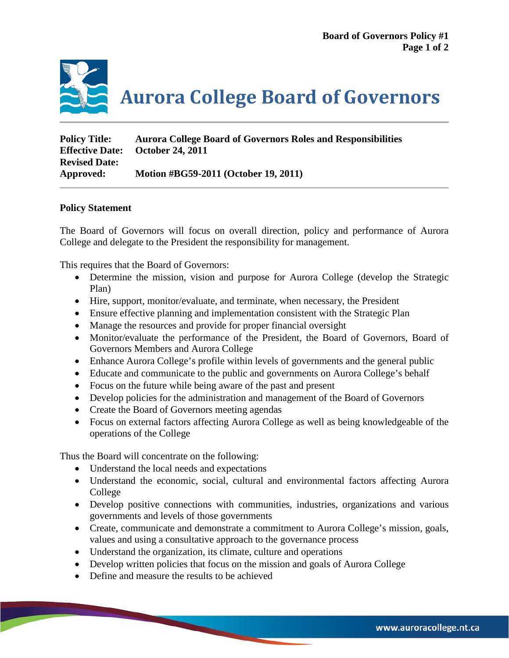

| <b>Policy Title:</b>   | <b>Aurora College Board of Governors Roles and Responsibilities</b> |
|------------------------|---------------------------------------------------------------------|
| <b>Effective Date:</b> | <b>October 24, 2011</b>                                             |
| <b>Revised Date:</b>   |                                                                     |
| Approved:              | Motion #BG59-2011 (October 19, 2011)                                |

## **Policy Statement**

The Board of Governors will focus on overall direction, policy and performance of Aurora College and delegate to the President the responsibility for management.

This requires that the Board of Governors:

- Determine the mission, vision and purpose for Aurora College (develop the Strategic Plan)
- Hire, support, monitor/evaluate, and terminate, when necessary, the President
- Ensure effective planning and implementation consistent with the Strategic Plan
- Manage the resources and provide for proper financial oversight
- Monitor/evaluate the performance of the President, the Board of Governors, Board of Governors Members and Aurora College
- Enhance Aurora College's profile within levels of governments and the general public
- Educate and communicate to the public and governments on Aurora College's behalf
- Focus on the future while being aware of the past and present
- Develop policies for the administration and management of the Board of Governors
- Create the Board of Governors meeting agendas
- Focus on external factors affecting Aurora College as well as being knowledgeable of the operations of the College

Thus the Board will concentrate on the following:

- Understand the local needs and expectations
- Understand the economic, social, cultural and environmental factors affecting Aurora College
- Develop positive connections with communities, industries, organizations and various governments and levels of those governments
- Create, communicate and demonstrate a commitment to Aurora College's mission, goals, values and using a consultative approach to the governance process
- Understand the organization, its climate, culture and operations
- Develop written policies that focus on the mission and goals of Aurora College
- Define and measure the results to be achieved